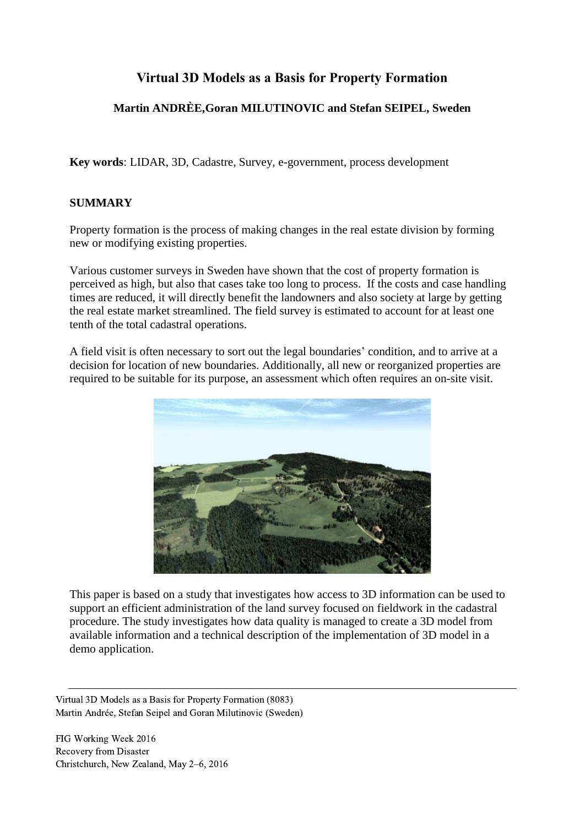# **Virtual 3D Models as a Basis for Property Formation**

# **Martin ANDRÈE,Goran MILUTINOVIC and Stefan SEIPEL, Sweden**

**Key words**: LIDAR, 3D, Cadastre, Survey, e-government, process development

#### **SUMMARY**

Property formation is the process of making changes in the real estate division by forming new or modifying existing properties.

Various customer surveys in Sweden have shown that the cost of property formation is perceived as high, but also that cases take too long to process. If the costs and case handling times are reduced, it will directly benefit the landowners and also society at large by getting the real estate market streamlined. The field survey is estimated to account for at least one tenth of the total cadastral operations.

A field visit is often necessary to sort out the legal boundaries' condition, and to arrive at a decision for location of new boundaries. Additionally, all new or reorganized properties are required to be suitable for its purpose, an assessment which often requires an on-site visit.



This paper is based on a study that investigates how access to 3D information can be used to support an efficient administration of the land survey focused on fieldwork in the cadastral procedure. The study investigates how data quality is managed to create a 3D model from available information and a technical description of the implementation of 3D model in a demo application.

Virtual 3D Models as a Basis for Property Formation (8083) Martin Andrée, Stefan Seipel and Goran Milutinovic (Sweden)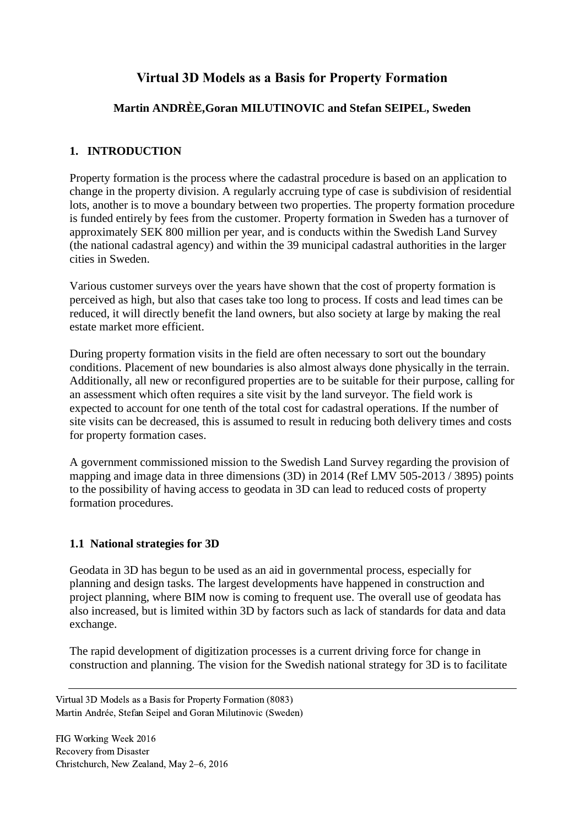# **Virtual 3D Models as a Basis for Property Formation**

## **Martin ANDRÈE,Goran MILUTINOVIC and Stefan SEIPEL, Sweden**

#### **1. INTRODUCTION**

Property formation is the process where the cadastral procedure is based on an application to change in the property division. A regularly accruing type of case is subdivision of residential lots, another is to move a boundary between two properties. The property formation procedure is funded entirely by fees from the customer. Property formation in Sweden has a turnover of approximately SEK 800 million per year, and is conducts within the Swedish Land Survey (the national cadastral agency) and within the 39 municipal cadastral authorities in the larger cities in Sweden.

Various customer surveys over the years have shown that the cost of property formation is perceived as high, but also that cases take too long to process. If costs and lead times can be reduced, it will directly benefit the land owners, but also society at large by making the real estate market more efficient.

During property formation visits in the field are often necessary to sort out the boundary conditions. Placement of new boundaries is also almost always done physically in the terrain. Additionally, all new or reconfigured properties are to be suitable for their purpose, calling for an assessment which often requires a site visit by the land surveyor. The field work is expected to account for one tenth of the total cost for cadastral operations. If the number of site visits can be decreased, this is assumed to result in reducing both delivery times and costs for property formation cases.

A government commissioned mission to the Swedish Land Survey regarding the provision of mapping and image data in three dimensions (3D) in 2014 (Ref LMV 505-2013 / 3895) points to the possibility of having access to geodata in 3D can lead to reduced costs of property formation procedures.

#### **1.1 National strategies for 3D**

Geodata in 3D has begun to be used as an aid in governmental process, especially for planning and design tasks. The largest developments have happened in construction and project planning, where BIM now is coming to frequent use. The overall use of geodata has also increased, but is limited within 3D by factors such as lack of standards for data and data exchange.

The rapid development of digitization processes is a current driving force for change in construction and planning. The vision for the Swedish national strategy for 3D is to facilitate

Virtual 3D Models as a Basis for Property Formation (8083) Martin Andrée, Stefan Seipel and Goran Milutinovic (Sweden)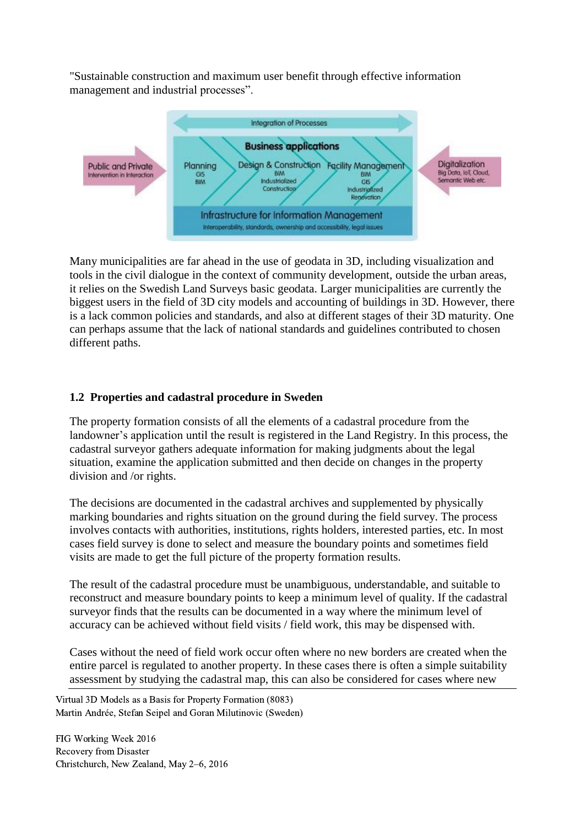"Sustainable construction and maximum user benefit through effective information management and industrial processes".



Many municipalities are far ahead in the use of geodata in 3D, including visualization and tools in the civil dialogue in the context of community development, outside the urban areas, it relies on the Swedish Land Surveys basic geodata. Larger municipalities are currently the biggest users in the field of 3D city models and accounting of buildings in 3D. However, there is a lack common policies and standards, and also at different stages of their 3D maturity. One can perhaps assume that the lack of national standards and guidelines contributed to chosen different paths.

## **1.2 Properties and cadastral procedure in Sweden**

The property formation consists of all the elements of a cadastral procedure from the landowner's application until the result is registered in the Land Registry. In this process, the cadastral surveyor gathers adequate information for making judgments about the legal situation, examine the application submitted and then decide on changes in the property division and /or rights.

The decisions are documented in the cadastral archives and supplemented by physically marking boundaries and rights situation on the ground during the field survey. The process involves contacts with authorities, institutions, rights holders, interested parties, etc. In most cases field survey is done to select and measure the boundary points and sometimes field visits are made to get the full picture of the property formation results.

The result of the cadastral procedure must be unambiguous, understandable, and suitable to reconstruct and measure boundary points to keep a minimum level of quality. If the cadastral surveyor finds that the results can be documented in a way where the minimum level of accuracy can be achieved without field visits / field work, this may be dispensed with.

Cases without the need of field work occur often where no new borders are created when the entire parcel is regulated to another property. In these cases there is often a simple suitability assessment by studying the cadastral map, this can also be considered for cases where new

Virtual 3D Models as a Basis for Property Formation (8083) Martin Andrée, Stefan Seipel and Goran Milutinovic (Sweden)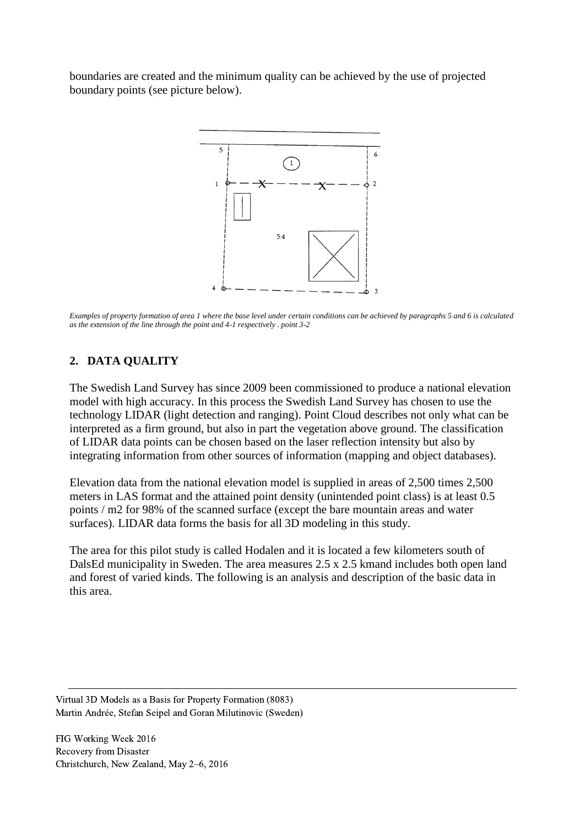boundaries are created and the minimum quality can be achieved by the use of projected boundary points (see picture below).



*Examples of property formation of area 1 where the base level under certain conditions can be achieved by paragraphs 5 and 6 is calculated as the extension of the line through the point and 4-1 respectively . point 3-2*

#### **2. DATA QUALITY**

The Swedish Land Survey has since 2009 been commissioned to produce a national elevation model with high accuracy. In this process the Swedish Land Survey has chosen to use the technology LIDAR (light detection and ranging). Point Cloud describes not only what can be interpreted as a firm ground, but also in part the vegetation above ground. The classification of LIDAR data points can be chosen based on the laser reflection intensity but also by integrating information from other sources of information (mapping and object databases).

Elevation data from the national elevation model is supplied in areas of 2,500 times 2,500 meters in LAS format and the attained point density (unintended point class) is at least 0.5 points / m2 for 98% of the scanned surface (except the bare mountain areas and water surfaces). LIDAR data forms the basis for all 3D modeling in this study.

The area for this pilot study is called Hodalen and it is located a few kilometers south of DalsEd municipality in Sweden. The area measures 2.5 x 2.5 kmand includes both open land and forest of varied kinds. The following is an analysis and description of the basic data in this area.

Virtual 3D Models as a Basis for Property Formation (8083) Martin Andrée, Stefan Seipel and Goran Milutinovic (Sweden)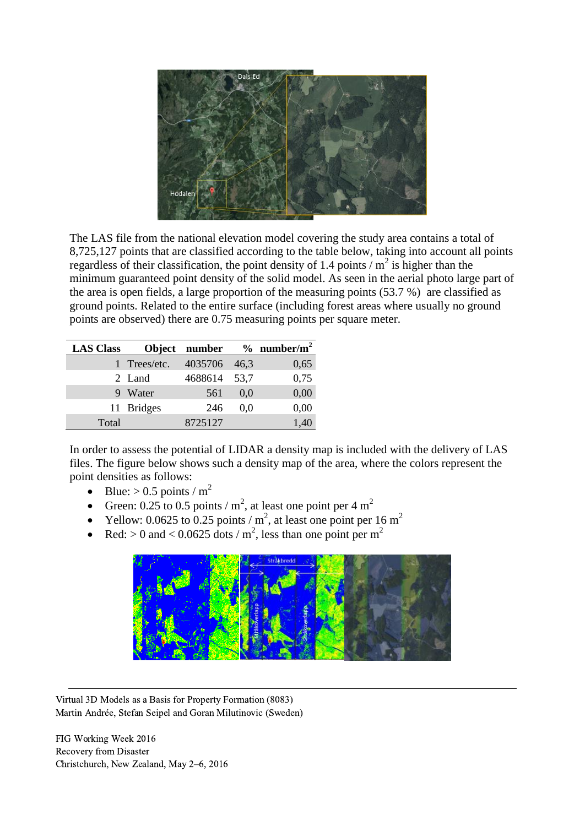

The LAS file from the national elevation model covering the study area contains a total of 8,725,127 points that are classified according to the table below, taking into account all points regardless of their classification, the point density of 1.4 points  $/m<sup>2</sup>$  is higher than the minimum guaranteed point density of the solid model. As seen in the aerial photo large part of the area is open fields, a large proportion of the measuring points (53.7 %) are classified as ground points. Related to the entire surface (including forest areas where usually no ground points are observed) there are 0.75 measuring points per square meter.

| <b>LAS Class</b> |              | Object number |        | $%$ number/m <sup>2</sup> |
|------------------|--------------|---------------|--------|---------------------------|
|                  | 1 Trees/etc. | 4035706       | 46.3   | 0,65                      |
|                  | 2 Land       | 4688614       | - 53.7 | 0,75                      |
|                  | 9 Water      | 561           | 0.0    | 0,00                      |
|                  | 11 Bridges   | 246           | 0.0    | 0,00                      |
| Total            |              | 8725127       |        | 1,40                      |

In order to assess the potential of LIDAR a density map is included with the delivery of LAS files. The figure below shows such a density map of the area, where the colors represent the point densities as follows:

- Blue:  $> 0.5$  points / m<sup>2</sup>
- Green: 0.25 to 0.5 points /  $m^2$ , at least one point per 4  $m^2$
- Yellow: 0.0625 to 0.25 points /  $m^2$ , at least one point per 16  $m^2$
- Red:  $> 0$  and  $< 0.0625$  dots / m<sup>2</sup>, less than one point per m<sup>2</sup>



Virtual 3D Models as a Basis for Property Formation (8083) Martin Andrée, Stefan Seipel and Goran Milutinovic (Sweden)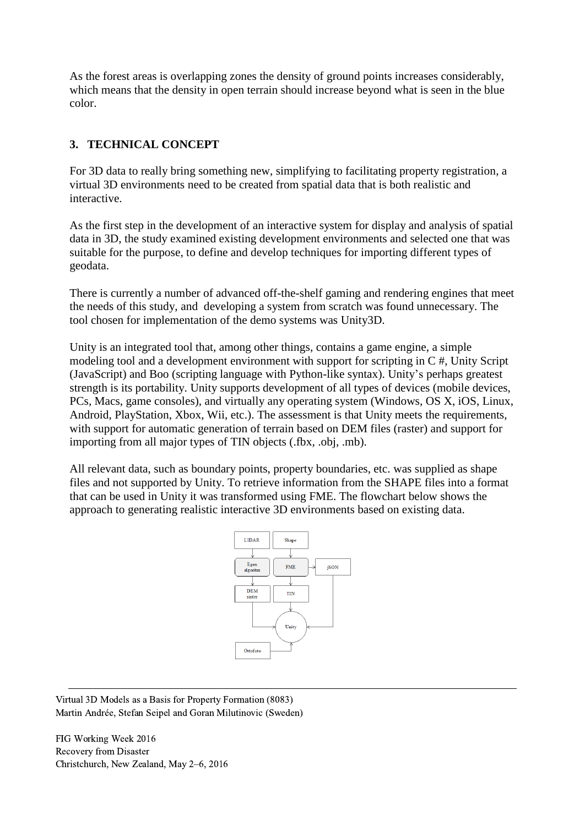As the forest areas is overlapping zones the density of ground points increases considerably, which means that the density in open terrain should increase beyond what is seen in the blue color.

## **3. TECHNICAL CONCEPT**

For 3D data to really bring something new, simplifying to facilitating property registration, a virtual 3D environments need to be created from spatial data that is both realistic and interactive.

As the first step in the development of an interactive system for display and analysis of spatial data in 3D, the study examined existing development environments and selected one that was suitable for the purpose, to define and develop techniques for importing different types of geodata.

There is currently a number of advanced off-the-shelf gaming and rendering engines that meet the needs of this study, and developing a system from scratch was found unnecessary. The tool chosen for implementation of the demo systems was Unity3D.

Unity is an integrated tool that, among other things, contains a game engine, a simple modeling tool and a development environment with support for scripting in C #, Unity Script (JavaScript) and Boo (scripting language with Python-like syntax). Unity's perhaps greatest strength is its portability. Unity supports development of all types of devices (mobile devices, PCs, Macs, game consoles), and virtually any operating system (Windows, OS X, iOS, Linux, Android, PlayStation, Xbox, Wii, etc.). The assessment is that Unity meets the requirements, with support for automatic generation of terrain based on DEM files (raster) and support for importing from all major types of TIN objects (.fbx, .obj, .mb).

All relevant data, such as boundary points, property boundaries, etc. was supplied as shape files and not supported by Unity. To retrieve information from the SHAPE files into a format that can be used in Unity it was transformed using FME. The flowchart below shows the approach to generating realistic interactive 3D environments based on existing data.



Virtual 3D Models as a Basis for Property Formation (8083) Martin Andrée, Stefan Seipel and Goran Milutinovic (Sweden)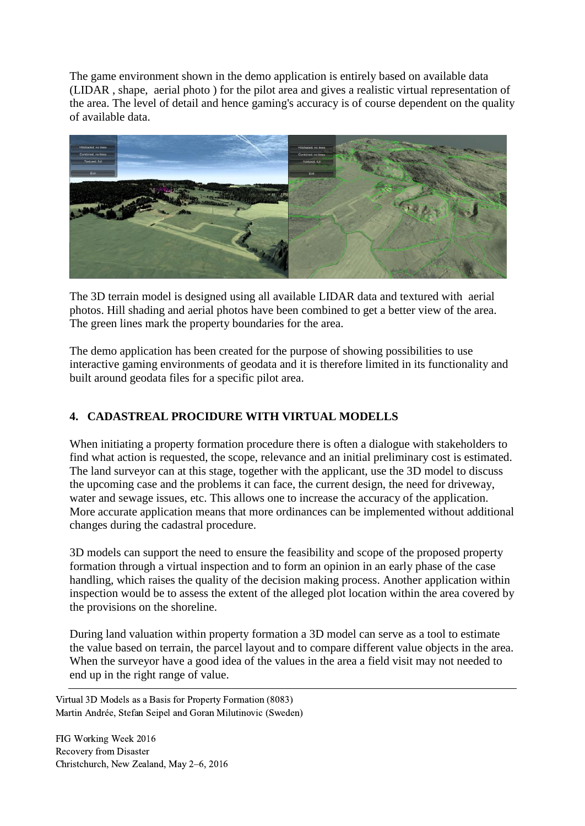The game environment shown in the demo application is entirely based on available data (LIDAR , shape, aerial photo ) for the pilot area and gives a realistic virtual representation of the area. The level of detail and hence gaming's accuracy is of course dependent on the quality of available data.



The 3D terrain model is designed using all available LIDAR data and textured with aerial photos. Hill shading and aerial photos have been combined to get a better view of the area. The green lines mark the property boundaries for the area.

The demo application has been created for the purpose of showing possibilities to use interactive gaming environments of geodata and it is therefore limited in its functionality and built around geodata files for a specific pilot area.

# **4. CADASTREAL PROCIDURE WITH VIRTUAL MODELLS**

When initiating a property formation procedure there is often a dialogue with stakeholders to find what action is requested, the scope, relevance and an initial preliminary cost is estimated. The land surveyor can at this stage, together with the applicant, use the 3D model to discuss the upcoming case and the problems it can face, the current design, the need for driveway, water and sewage issues, etc. This allows one to increase the accuracy of the application. More accurate application means that more ordinances can be implemented without additional changes during the cadastral procedure.

3D models can support the need to ensure the feasibility and scope of the proposed property formation through a virtual inspection and to form an opinion in an early phase of the case handling, which raises the quality of the decision making process. Another application within inspection would be to assess the extent of the alleged plot location within the area covered by the provisions on the shoreline.

During land valuation within property formation a 3D model can serve as a tool to estimate the value based on terrain, the parcel layout and to compare different value objects in the area. When the surveyor have a good idea of the values in the area a field visit may not needed to end up in the right range of value.

Virtual 3D Models as a Basis for Property Formation (8083) Martin Andrée, Stefan Seipel and Goran Milutinovic (Sweden)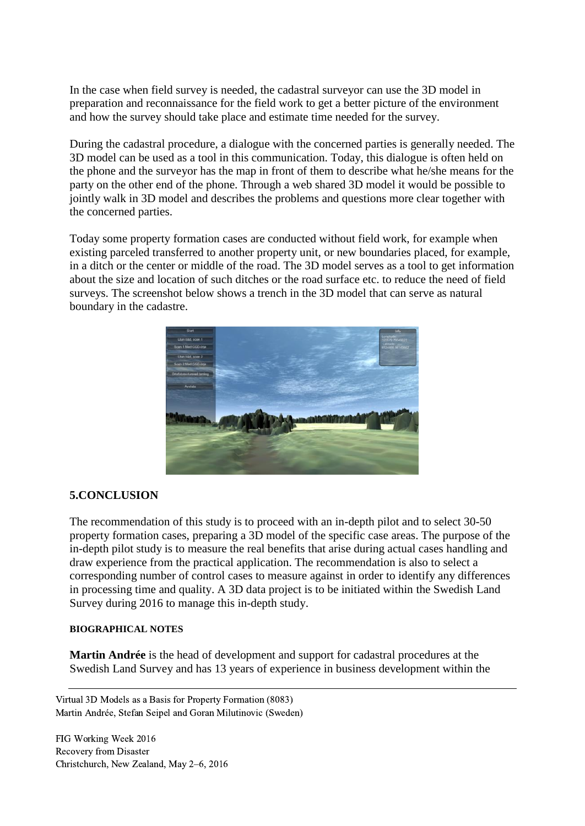In the case when field survey is needed, the cadastral surveyor can use the 3D model in preparation and reconnaissance for the field work to get a better picture of the environment and how the survey should take place and estimate time needed for the survey.

During the cadastral procedure, a dialogue with the concerned parties is generally needed. The 3D model can be used as a tool in this communication. Today, this dialogue is often held on the phone and the surveyor has the map in front of them to describe what he/she means for the party on the other end of the phone. Through a web shared 3D model it would be possible to jointly walk in 3D model and describes the problems and questions more clear together with the concerned parties.

Today some property formation cases are conducted without field work, for example when existing parceled transferred to another property unit, or new boundaries placed, for example, in a ditch or the center or middle of the road. The 3D model serves as a tool to get information about the size and location of such ditches or the road surface etc. to reduce the need of field surveys. The screenshot below shows a trench in the 3D model that can serve as natural boundary in the cadastre.



#### **5.CONCLUSION**

The recommendation of this study is to proceed with an in-depth pilot and to select 30-50 property formation cases, preparing a 3D model of the specific case areas. The purpose of the in-depth pilot study is to measure the real benefits that arise during actual cases handling and draw experience from the practical application. The recommendation is also to select a corresponding number of control cases to measure against in order to identify any differences in processing time and quality. A 3D data project is to be initiated within the Swedish Land Survey during 2016 to manage this in-depth study.

#### **BIOGRAPHICAL NOTES**

**Martin Andrée** is the head of development and support for cadastral procedures at the Swedish Land Survey and has 13 years of experience in business development within the

Virtual 3D Models as a Basis for Property Formation (8083) Martin Andrée, Stefan Seipel and Goran Milutinovic (Sweden)